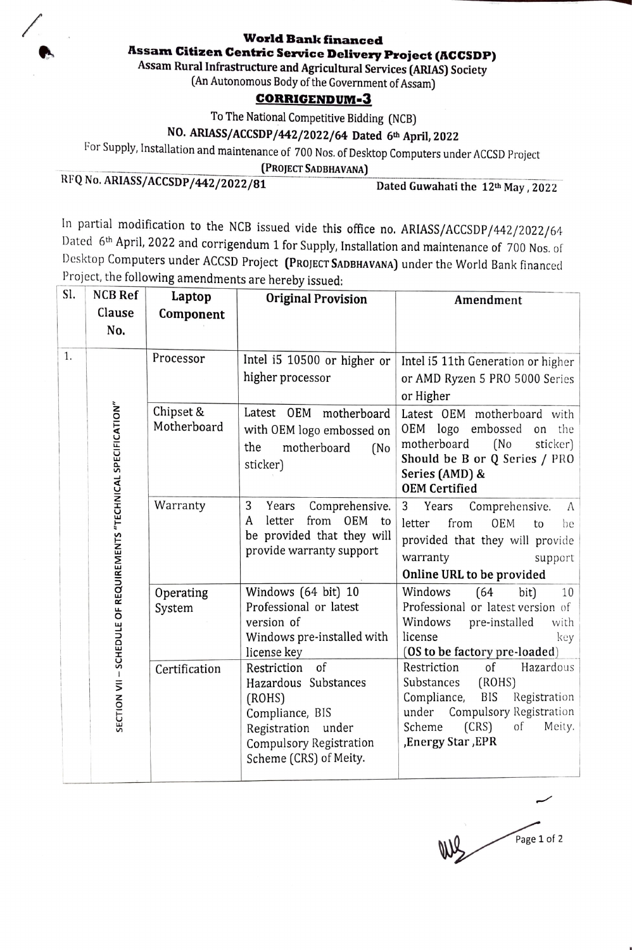## **World Bank financed**

**l\ssam Citizen Centric Service Delivery Project (I\CCSDP)** 

**Assam Rural Infrastructure and Agricultural Services (ARIAS) Society** 

(An Autonomous Body of the Government of Assam)

## **CORRIGENDUM-3**

To The National Competitive Bidding (NCB)

## **NO. ARIASS/ACCSDP/442/2022/64 Dated 6th April, 2022**

for Supply, Installation and maintenance of 700 Nos. of Desktop Computers under ACCSD Project

**(PROJECT SADBHAVANA)** 

RFQ No. ARIASS/ACCSDP/442/2022/81 Dated Guwahati the 12<sup>th</sup> May, 2022

In partial modification to the NCB issued vide this office no. ARIASS/ACCSDP/442/2022/64 Dated 6th April, 2022 and corrigendum 1 for Supply, Installation and maintenance of 700 Nos. of Desktop Computers under ACCSD Project (PROJECT SADBHAVANA) under the World Bank financed Project, the following amendments are hereby issued:

| SI. | <b>NCB Ref</b><br>Clause<br>No.                                  | Laptop<br>Component      | <b>Original Provision</b>                                                                                                                                   | Amendment                                                                                                                                                                                |
|-----|------------------------------------------------------------------|--------------------------|-------------------------------------------------------------------------------------------------------------------------------------------------------------|------------------------------------------------------------------------------------------------------------------------------------------------------------------------------------------|
| 1.  | SECTION VII - SCHEDULE OF REQUIREMENTS "TECHNICAL SPECIFICATION" | Processor                | Intel i5 10500 or higher or<br>higher processor                                                                                                             | Intel i5 11th Generation or higher<br>or AMD Ryzen 5 PRO 5000 Series<br>or Higher                                                                                                        |
|     |                                                                  | Chipset &<br>Motherboard | Latest OEM motherboard<br>with OEM logo embossed on<br>motherboard<br>the<br>(No<br>sticker)                                                                | Latest OEM motherboard with<br>OEM logo embossed<br>the<br>on<br>motherboard<br>(No<br>sticker)<br>Should be B or Q Series / PRO<br>Series (AMD) &<br><b>OEM Certified</b>               |
|     |                                                                  | Warranty                 | 3<br>Years<br>Comprehensive.<br>from OEM<br>letter<br>A<br>to<br>be provided that they will<br>provide warranty support                                     | 3<br>Years<br>Comprehensive.<br>A<br>from<br>OEM<br>letter<br>to<br>be<br>provided that they will provide<br>warranty<br>support<br>Online URL to be provided                            |
|     |                                                                  | Operating<br>System      | Windows (64 bit) 10<br>Professional or latest<br>version of<br>Windows pre-installed with<br>license key                                                    | (64)<br>Windows<br>bit)<br>10<br>Professional or latest version of<br>Windows<br>pre-installed<br>with<br>license<br>key<br>(OS to be factory pre-loaded)                                |
|     |                                                                  | Certification            | of<br>Restriction<br>Hazardous Substances<br>(ROHS)<br>Compliance, BIS<br>Registration<br>under<br><b>Compulsory Registration</b><br>Scheme (CRS) of Meity. | Restriction<br>of<br>Hazardous<br>(ROHS)<br>Substances<br>Compliance,<br>BIS<br>Registration<br>Compulsory Registration<br>under<br>Scheme<br>(CRS)<br>of<br>Meity.<br>,Energy Star, EPR |